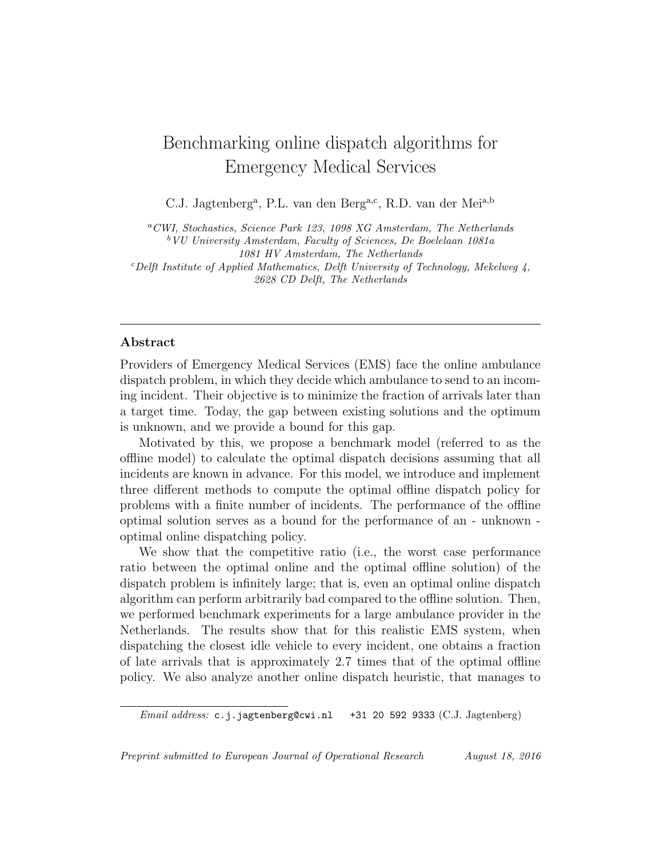# Benchmarking online dispatch algorithms for Emergency Medical Services

C.J. Jagtenberg<sup>a</sup>, P.L. van den Berg<sup>a, c</sup>, R.D. van der Mei<sup>a, b</sup>

 ${}^a$ CWI, Stochastics, Science Park 123, 1098 XG Amsterdam, The Netherlands <sup>b</sup>VU University Amsterdam, Faculty of Sciences, De Boelelaan 1081a 1081 HV Amsterdam, The Netherlands  $c$ Delft Institute of Applied Mathematics, Delft University of Technology, Mekelweg  $\lambda$ , 2628 CD Delft, The Netherlands

## Abstract

Providers of Emergency Medical Services (EMS) face the online ambulance dispatch problem, in which they decide which ambulance to send to an incoming incident. Their objective is to minimize the fraction of arrivals later than a target time. Today, the gap between existing solutions and the optimum is unknown, and we provide a bound for this gap.

Motivated by this, we propose a benchmark model (referred to as the offline model) to calculate the optimal dispatch decisions assuming that all incidents are known in advance. For this model, we introduce and implement three different methods to compute the optimal offline dispatch policy for problems with a finite number of incidents. The performance of the offline optimal solution serves as a bound for the performance of an - unknown optimal online dispatching policy.

We show that the competitive ratio (i.e., the worst case performance ratio between the optimal online and the optimal offline solution) of the dispatch problem is infinitely large; that is, even an optimal online dispatch algorithm can perform arbitrarily bad compared to the offline solution. Then, we performed benchmark experiments for a large ambulance provider in the Netherlands. The results show that for this realistic EMS system, when dispatching the closest idle vehicle to every incident, one obtains a fraction of late arrivals that is approximately 2.7 times that of the optimal offline policy. We also analyze another online dispatch heuristic, that manages to

Preprint submitted to European Journal of Operational Research August 18, 2016

Email address: c.j.jagtenberg@cwi.nl +31 20 592 9333 (C.J. Jagtenberg)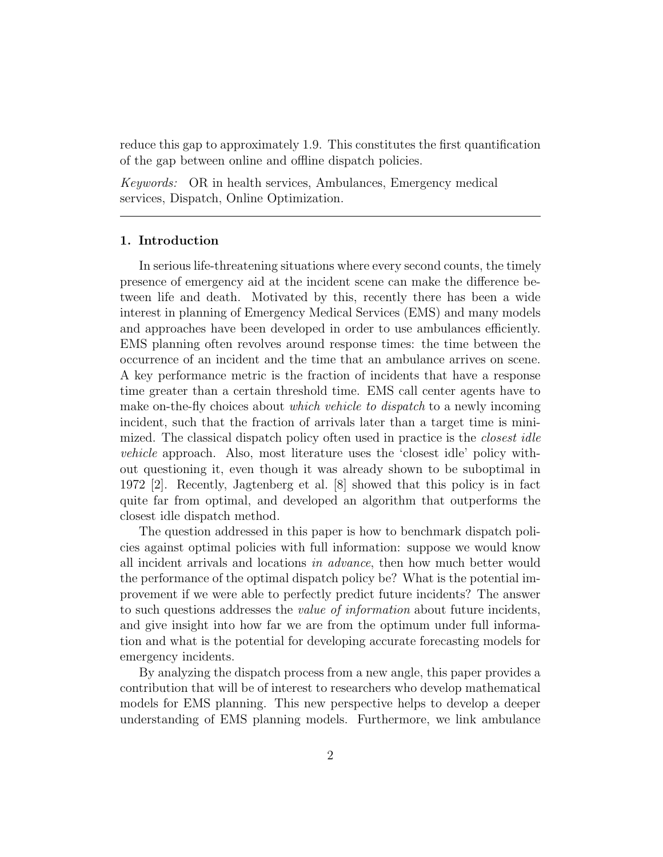reduce this gap to approximately 1.9. This constitutes the first quantification of the gap between online and offline dispatch policies.

Keywords: OR in health services, Ambulances, Emergency medical services, Dispatch, Online Optimization.

### 1. Introduction

In serious life-threatening situations where every second counts, the timely presence of emergency aid at the incident scene can make the difference between life and death. Motivated by this, recently there has been a wide interest in planning of Emergency Medical Services (EMS) and many models and approaches have been developed in order to use ambulances efficiently. EMS planning often revolves around response times: the time between the occurrence of an incident and the time that an ambulance arrives on scene. A key performance metric is the fraction of incidents that have a response time greater than a certain threshold time. EMS call center agents have to make on-the-fly choices about *which vehicle to dispatch* to a newly incoming incident, such that the fraction of arrivals later than a target time is minimized. The classical dispatch policy often used in practice is the *closest idle* vehicle approach. Also, most literature uses the 'closest idle' policy without questioning it, even though it was already shown to be suboptimal in 1972 [2]. Recently, Jagtenberg et al. [8] showed that this policy is in fact quite far from optimal, and developed an algorithm that outperforms the closest idle dispatch method.

The question addressed in this paper is how to benchmark dispatch policies against optimal policies with full information: suppose we would know all incident arrivals and locations in advance, then how much better would the performance of the optimal dispatch policy be? What is the potential improvement if we were able to perfectly predict future incidents? The answer to such questions addresses the value of information about future incidents, and give insight into how far we are from the optimum under full information and what is the potential for developing accurate forecasting models for emergency incidents.

By analyzing the dispatch process from a new angle, this paper provides a contribution that will be of interest to researchers who develop mathematical models for EMS planning. This new perspective helps to develop a deeper understanding of EMS planning models. Furthermore, we link ambulance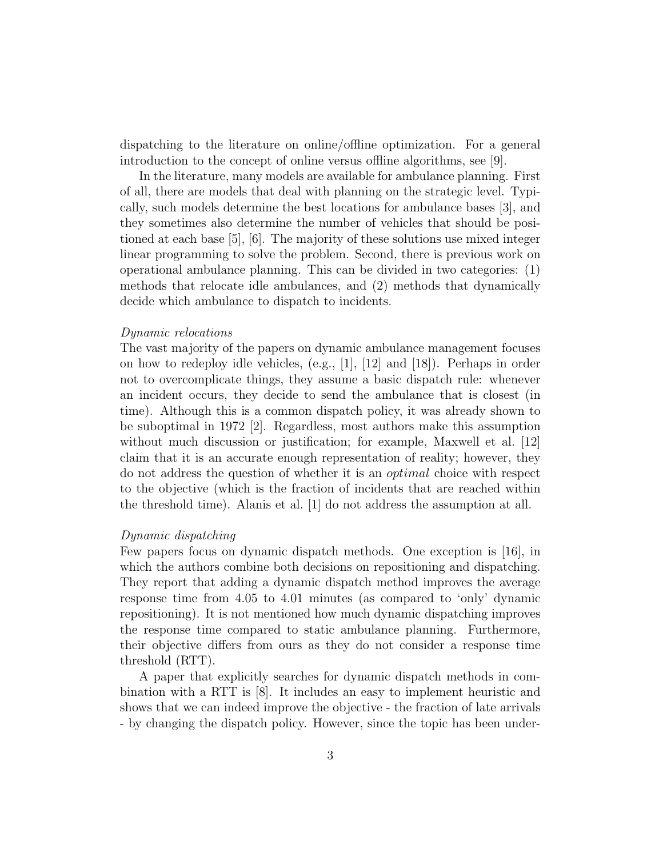dispatching to the literature on online/offline optimization. For a general introduction to the concept of online versus offline algorithms, see [9].

In the literature, many models are available for ambulance planning. First of all, there are models that deal with planning on the strategic level. Typically, such models determine the best locations for ambulance bases [3], and they sometimes also determine the number of vehicles that should be positioned at each base [5], [6]. The majority of these solutions use mixed integer linear programming to solve the problem. Second, there is previous work on operational ambulance planning. This can be divided in two categories: (1) methods that relocate idle ambulances, and (2) methods that dynamically decide which ambulance to dispatch to incidents.

## Dynamic relocations

The vast majority of the papers on dynamic ambulance management focuses on how to redeploy idle vehicles, (e.g., [1], [12] and [18]). Perhaps in order not to overcomplicate things, they assume a basic dispatch rule: whenever an incident occurs, they decide to send the ambulance that is closest (in time). Although this is a common dispatch policy, it was already shown to be suboptimal in 1972 [2]. Regardless, most authors make this assumption without much discussion or justification; for example, Maxwell et al. [12] claim that it is an accurate enough representation of reality; however, they do not address the question of whether it is an optimal choice with respect to the objective (which is the fraction of incidents that are reached within the threshold time). Alanis et al. [1] do not address the assumption at all.

#### Dynamic dispatching

Few papers focus on dynamic dispatch methods. One exception is [16], in which the authors combine both decisions on repositioning and dispatching. They report that adding a dynamic dispatch method improves the average response time from 4.05 to 4.01 minutes (as compared to 'only' dynamic repositioning). It is not mentioned how much dynamic dispatching improves the response time compared to static ambulance planning. Furthermore, their objective differs from ours as they do not consider a response time threshold (RTT).

A paper that explicitly searches for dynamic dispatch methods in combination with a RTT is [8]. It includes an easy to implement heuristic and shows that we can indeed improve the objective - the fraction of late arrivals - by changing the dispatch policy. However, since the topic has been under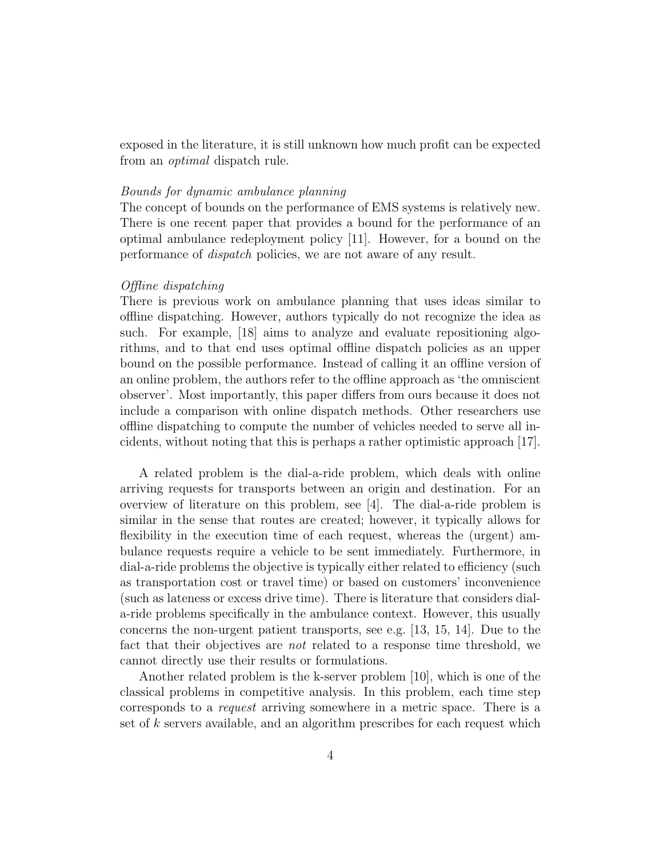exposed in the literature, it is still unknown how much profit can be expected from an optimal dispatch rule.

#### Bounds for dynamic ambulance planning

The concept of bounds on the performance of EMS systems is relatively new. There is one recent paper that provides a bound for the performance of an optimal ambulance redeployment policy [11]. However, for a bound on the performance of dispatch policies, we are not aware of any result.

#### Offline dispatching

There is previous work on ambulance planning that uses ideas similar to offline dispatching. However, authors typically do not recognize the idea as such. For example, [18] aims to analyze and evaluate repositioning algorithms, and to that end uses optimal offline dispatch policies as an upper bound on the possible performance. Instead of calling it an offline version of an online problem, the authors refer to the offline approach as 'the omniscient observer'. Most importantly, this paper differs from ours because it does not include a comparison with online dispatch methods. Other researchers use offline dispatching to compute the number of vehicles needed to serve all incidents, without noting that this is perhaps a rather optimistic approach [17].

A related problem is the dial-a-ride problem, which deals with online arriving requests for transports between an origin and destination. For an overview of literature on this problem, see [4]. The dial-a-ride problem is similar in the sense that routes are created; however, it typically allows for flexibility in the execution time of each request, whereas the (urgent) ambulance requests require a vehicle to be sent immediately. Furthermore, in dial-a-ride problems the objective is typically either related to efficiency (such as transportation cost or travel time) or based on customers' inconvenience (such as lateness or excess drive time). There is literature that considers diala-ride problems specifically in the ambulance context. However, this usually concerns the non-urgent patient transports, see e.g. [13, 15, 14]. Due to the fact that their objectives are not related to a response time threshold, we cannot directly use their results or formulations.

Another related problem is the k-server problem [10], which is one of the classical problems in competitive analysis. In this problem, each time step corresponds to a request arriving somewhere in a metric space. There is a set of  $k$  servers available, and an algorithm prescribes for each request which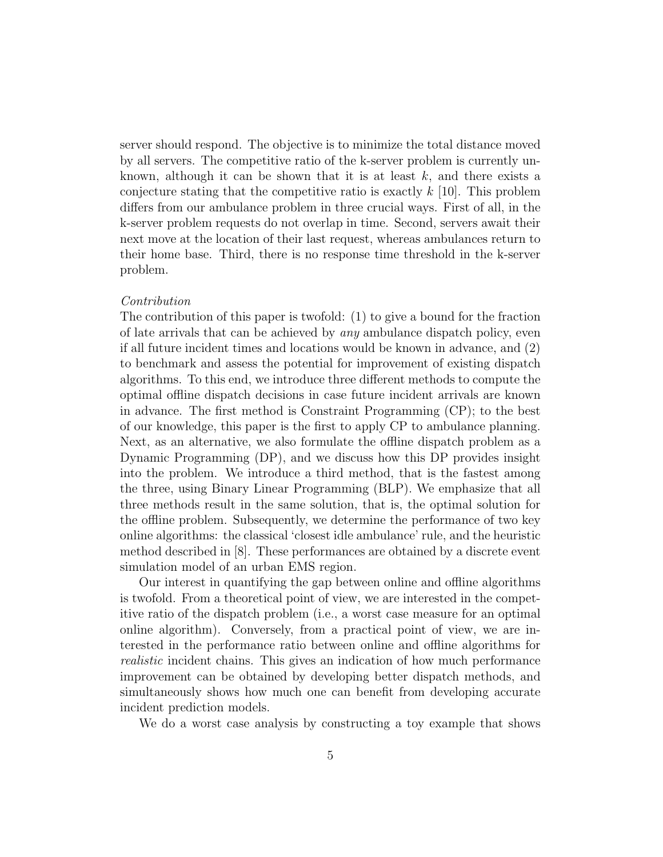server should respond. The objective is to minimize the total distance moved by all servers. The competitive ratio of the k-server problem is currently unknown, although it can be shown that it is at least  $k$ , and there exists a conjecture stating that the competitive ratio is exactly  $k$  [10]. This problem differs from our ambulance problem in three crucial ways. First of all, in the k-server problem requests do not overlap in time. Second, servers await their next move at the location of their last request, whereas ambulances return to their home base. Third, there is no response time threshold in the k-server problem.

#### Contribution

The contribution of this paper is twofold: (1) to give a bound for the fraction of late arrivals that can be achieved by any ambulance dispatch policy, even if all future incident times and locations would be known in advance, and (2) to benchmark and assess the potential for improvement of existing dispatch algorithms. To this end, we introduce three different methods to compute the optimal offline dispatch decisions in case future incident arrivals are known in advance. The first method is Constraint Programming (CP); to the best of our knowledge, this paper is the first to apply CP to ambulance planning. Next, as an alternative, we also formulate the offline dispatch problem as a Dynamic Programming (DP), and we discuss how this DP provides insight into the problem. We introduce a third method, that is the fastest among the three, using Binary Linear Programming (BLP). We emphasize that all three methods result in the same solution, that is, the optimal solution for the offline problem. Subsequently, we determine the performance of two key online algorithms: the classical 'closest idle ambulance' rule, and the heuristic method described in [8]. These performances are obtained by a discrete event simulation model of an urban EMS region.

Our interest in quantifying the gap between online and offline algorithms is twofold. From a theoretical point of view, we are interested in the competitive ratio of the dispatch problem (i.e., a worst case measure for an optimal online algorithm). Conversely, from a practical point of view, we are interested in the performance ratio between online and offline algorithms for realistic incident chains. This gives an indication of how much performance improvement can be obtained by developing better dispatch methods, and simultaneously shows how much one can benefit from developing accurate incident prediction models.

We do a worst case analysis by constructing a toy example that shows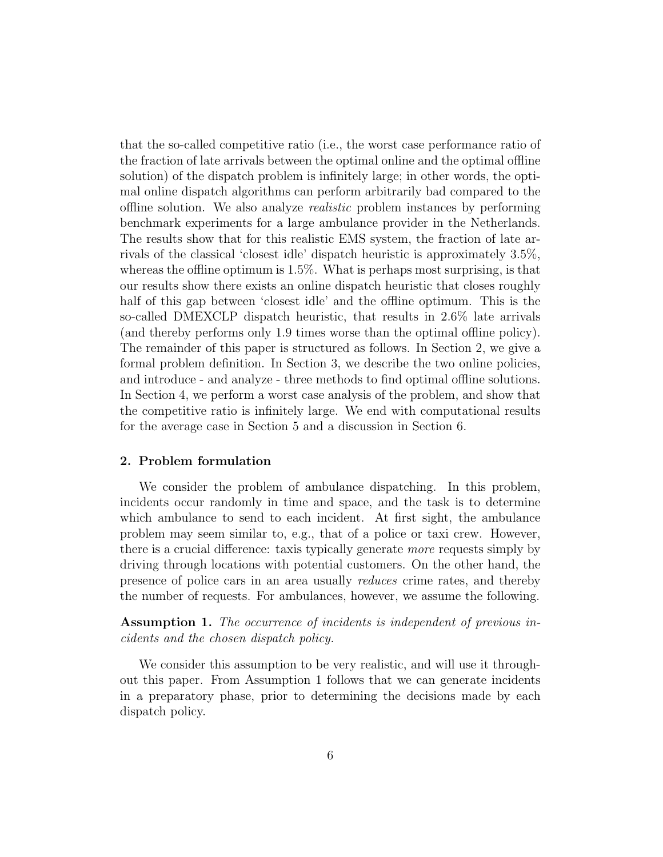that the so-called competitive ratio (i.e., the worst case performance ratio of the fraction of late arrivals between the optimal online and the optimal offline solution) of the dispatch problem is infinitely large; in other words, the optimal online dispatch algorithms can perform arbitrarily bad compared to the offline solution. We also analyze realistic problem instances by performing benchmark experiments for a large ambulance provider in the Netherlands. The results show that for this realistic EMS system, the fraction of late arrivals of the classical 'closest idle' dispatch heuristic is approximately 3.5%, whereas the offline optimum is 1.5%. What is perhaps most surprising, is that our results show there exists an online dispatch heuristic that closes roughly half of this gap between 'closest idle' and the offline optimum. This is the so-called DMEXCLP dispatch heuristic, that results in 2.6% late arrivals (and thereby performs only 1.9 times worse than the optimal offline policy). The remainder of this paper is structured as follows. In Section 2, we give a formal problem definition. In Section 3, we describe the two online policies, and introduce - and analyze - three methods to find optimal offline solutions. In Section 4, we perform a worst case analysis of the problem, and show that the competitive ratio is infinitely large. We end with computational results for the average case in Section 5 and a discussion in Section 6.

## 2. Problem formulation

We consider the problem of ambulance dispatching. In this problem, incidents occur randomly in time and space, and the task is to determine which ambulance to send to each incident. At first sight, the ambulance problem may seem similar to, e.g., that of a police or taxi crew. However, there is a crucial difference: taxis typically generate more requests simply by driving through locations with potential customers. On the other hand, the presence of police cars in an area usually reduces crime rates, and thereby the number of requests. For ambulances, however, we assume the following.

Assumption 1. The occurrence of incidents is independent of previous incidents and the chosen dispatch policy.

We consider this assumption to be very realistic, and will use it throughout this paper. From Assumption 1 follows that we can generate incidents in a preparatory phase, prior to determining the decisions made by each dispatch policy.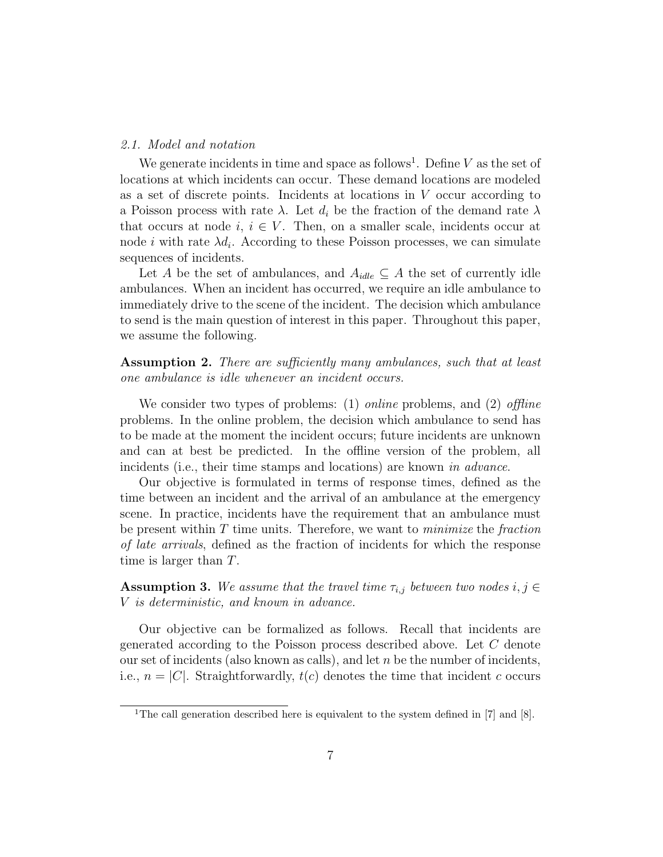#### 2.1. Model and notation

We generate incidents in time and space as follows<sup>1</sup>. Define  $V$  as the set of locations at which incidents can occur. These demand locations are modeled as a set of discrete points. Incidents at locations in  $V$  occur according to a Poisson process with rate  $\lambda$ . Let  $d_i$  be the fraction of the demand rate  $\lambda$ that occurs at node i,  $i \in V$ . Then, on a smaller scale, incidents occur at node *i* with rate  $\lambda d_i$ . According to these Poisson processes, we can simulate sequences of incidents.

Let A be the set of ambulances, and  $A_{idle} \subseteq A$  the set of currently idle ambulances. When an incident has occurred, we require an idle ambulance to immediately drive to the scene of the incident. The decision which ambulance to send is the main question of interest in this paper. Throughout this paper, we assume the following.

Assumption 2. There are sufficiently many ambulances, such that at least one ambulance is idle whenever an incident occurs.

We consider two types of problems: (1) *online* problems, and (2) *offline* problems. In the online problem, the decision which ambulance to send has to be made at the moment the incident occurs; future incidents are unknown and can at best be predicted. In the offline version of the problem, all incidents (i.e., their time stamps and locations) are known in advance.

Our objective is formulated in terms of response times, defined as the time between an incident and the arrival of an ambulance at the emergency scene. In practice, incidents have the requirement that an ambulance must be present within  $T$  time units. Therefore, we want to *minimize* the fraction of late arrivals, defined as the fraction of incidents for which the response time is larger than T.

**Assumption 3.** We assume that the travel time  $\tau_{i,j}$  between two nodes  $i, j \in$ V is deterministic, and known in advance.

Our objective can be formalized as follows. Recall that incidents are generated according to the Poisson process described above. Let C denote our set of incidents (also known as calls), and let  $n$  be the number of incidents, i.e.,  $n = |C|$ . Straightforwardly,  $t(c)$  denotes the time that incident c occurs

<sup>&</sup>lt;sup>1</sup>The call generation described here is equivalent to the system defined in [7] and [8].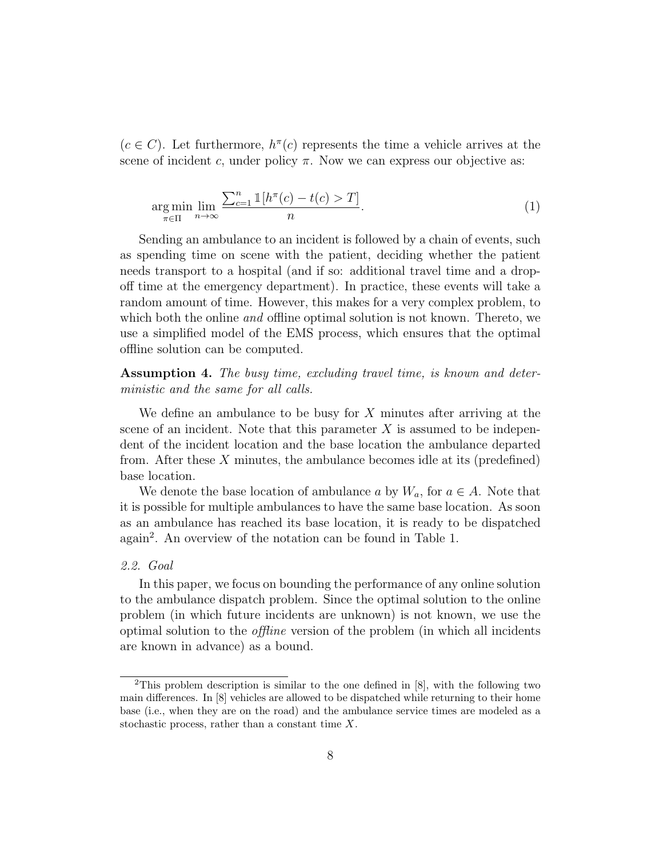$(c \in C)$ . Let furthermore,  $h^{\pi}(c)$  represents the time a vehicle arrives at the scene of incident c, under policy  $\pi$ . Now we can express our objective as:

$$
\underset{\pi \in \Pi}{\arg \min} \lim_{n \to \infty} \frac{\sum_{c=1}^{n} \mathbb{1}[h^{\pi}(c) - t(c) > T]}{n}.
$$
\n
$$
(1)
$$

Sending an ambulance to an incident is followed by a chain of events, such as spending time on scene with the patient, deciding whether the patient needs transport to a hospital (and if so: additional travel time and a dropoff time at the emergency department). In practice, these events will take a random amount of time. However, this makes for a very complex problem, to which both the online *and* offline optimal solution is not known. Thereto, we use a simplified model of the EMS process, which ensures that the optimal offline solution can be computed.

Assumption 4. The busy time, excluding travel time, is known and deterministic and the same for all calls.

We define an ambulance to be busy for  $X$  minutes after arriving at the scene of an incident. Note that this parameter  $X$  is assumed to be independent of the incident location and the base location the ambulance departed from. After these  $X$  minutes, the ambulance becomes idle at its (predefined) base location.

We denote the base location of ambulance a by  $W_a$ , for  $a \in A$ . Note that it is possible for multiple ambulances to have the same base location. As soon as an ambulance has reached its base location, it is ready to be dispatched again<sup>2</sup> . An overview of the notation can be found in Table 1.

## 2.2. Goal

In this paper, we focus on bounding the performance of any online solution to the ambulance dispatch problem. Since the optimal solution to the online problem (in which future incidents are unknown) is not known, we use the optimal solution to the offline version of the problem (in which all incidents are known in advance) as a bound.

<sup>2</sup>This problem description is similar to the one defined in [8], with the following two main differences. In [8] vehicles are allowed to be dispatched while returning to their home base (i.e., when they are on the road) and the ambulance service times are modeled as a stochastic process, rather than a constant time X.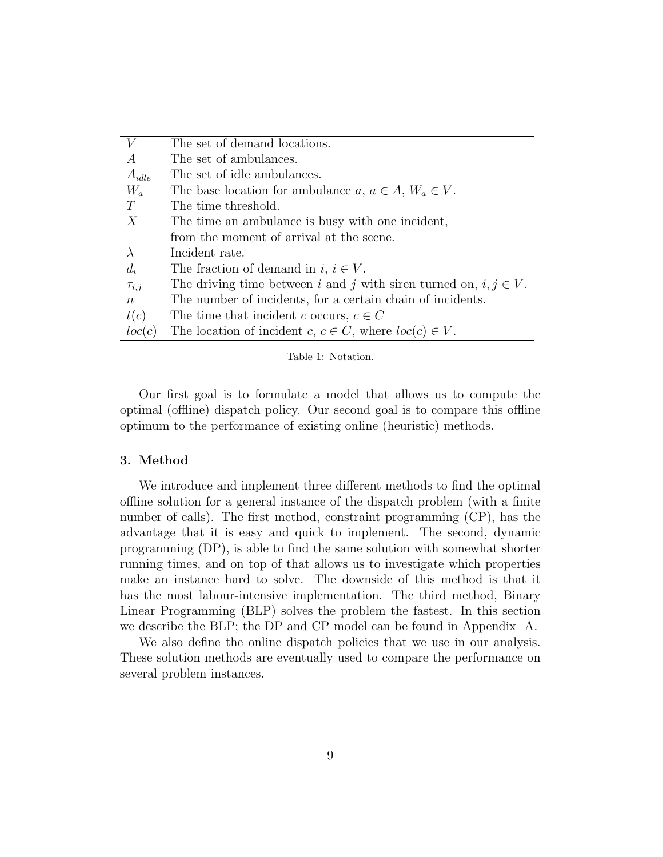|                  | The set of demand locations.                                          |
|------------------|-----------------------------------------------------------------------|
| $\overline{A}$   | The set of ambulances.                                                |
| $A_{idle}$       | The set of idle ambulances.                                           |
| $W_a$            | The base location for ambulance $a, a \in A, W_a \in V$ .             |
| T                | The time threshold.                                                   |
| $\boldsymbol{X}$ | The time an ambulance is busy with one incident,                      |
|                  | from the moment of arrival at the scene.                              |
| $\lambda$        | Incident rate.                                                        |
| $d_i$            | The fraction of demand in $i, i \in V$ .                              |
| $\tau_{i,j}$     | The driving time between i and j with siren turned on, $i, j \in V$ . |
| $\,n$            | The number of incidents, for a certain chain of incidents.            |
| t(c)             | The time that incident c occurs, $c \in C$                            |
| loc(c)           | The location of incident $c, c \in C$ , where $loc(c) \in V$ .        |

Table 1: Notation.

Our first goal is to formulate a model that allows us to compute the optimal (offline) dispatch policy. Our second goal is to compare this offline optimum to the performance of existing online (heuristic) methods.

#### 3. Method

We introduce and implement three different methods to find the optimal offline solution for a general instance of the dispatch problem (with a finite number of calls). The first method, constraint programming (CP), has the advantage that it is easy and quick to implement. The second, dynamic programming (DP), is able to find the same solution with somewhat shorter running times, and on top of that allows us to investigate which properties make an instance hard to solve. The downside of this method is that it has the most labour-intensive implementation. The third method, Binary Linear Programming (BLP) solves the problem the fastest. In this section we describe the BLP; the DP and CP model can be found in Appendix A.

We also define the online dispatch policies that we use in our analysis. These solution methods are eventually used to compare the performance on several problem instances.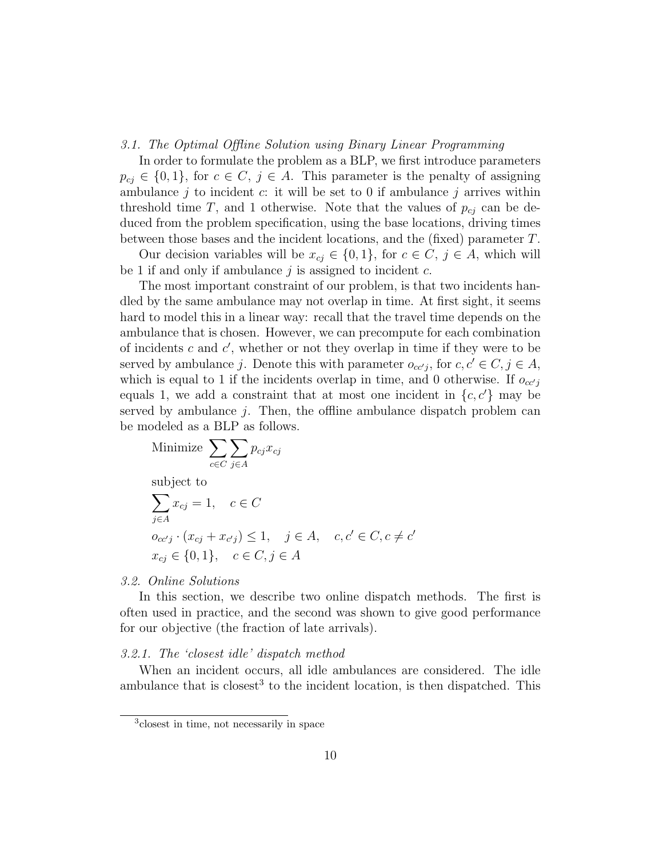## 3.1. The Optimal Offline Solution using Binary Linear Programming

In order to formulate the problem as a BLP, we first introduce parameters  $p_{cj} \in \{0, 1\}$ , for  $c \in C$ ,  $j \in A$ . This parameter is the penalty of assigning ambulance  $j$  to incident  $c$ : it will be set to 0 if ambulance  $j$  arrives within threshold time T, and 1 otherwise. Note that the values of  $p_{ci}$  can be deduced from the problem specification, using the base locations, driving times between those bases and the incident locations, and the (fixed) parameter T.

Our decision variables will be  $x_{cj} \in \{0, 1\}$ , for  $c \in C$ ,  $j \in A$ , which will be 1 if and only if ambulance  $j$  is assigned to incident  $c$ .

The most important constraint of our problem, is that two incidents handled by the same ambulance may not overlap in time. At first sight, it seems hard to model this in a linear way: recall that the travel time depends on the ambulance that is chosen. However, we can precompute for each combination of incidents  $c$  and  $c'$ , whether or not they overlap in time if they were to be served by ambulance j. Denote this with parameter  $o_{cc'j}$ , for  $c, c' \in C, j \in A$ , which is equal to 1 if the incidents overlap in time, and 0 otherwise. If  $o_{cc'j}$ equals 1, we add a constraint that at most one incident in  $\{c, c'\}$  may be served by ambulance  $j$ . Then, the offline ambulance dispatch problem can be modeled as a BLP as follows.

Minimize 
$$
\sum_{c \in C} \sum_{j \in A} p_{cj} x_{cj}
$$
  
subject to  

$$
\sum_{j \in A} x_{cj} = 1, \quad c \in C
$$

$$
o_{cc'j} \cdot (x_{cj} + x_{c'j}) \le 1, \quad j \in A, \quad c, c' \in C, c \ne c'
$$

$$
x_{cj} \in \{0, 1\}, \quad c \in C, j \in A
$$

#### 3.2. Online Solutions

In this section, we describe two online dispatch methods. The first is often used in practice, and the second was shown to give good performance for our objective (the fraction of late arrivals).

## 3.2.1. The 'closest idle' dispatch method

When an incident occurs, all idle ambulances are considered. The idle ambulance that is closest<sup>3</sup> to the incident location, is then dispatched. This

<sup>3</sup> closest in time, not necessarily in space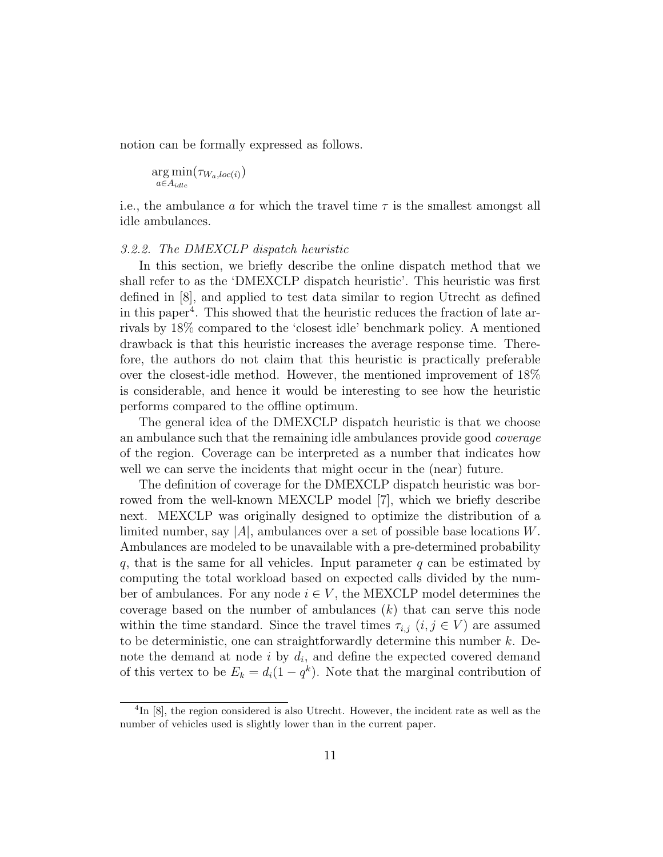notion can be formally expressed as follows.

$$
\argmin_{a \in A_{idle}} (\tau_{W_a, loc(i)})
$$

i.e., the ambulance a for which the travel time  $\tau$  is the smallest amongst all idle ambulances.

## 3.2.2. The DMEXCLP dispatch heuristic

In this section, we briefly describe the online dispatch method that we shall refer to as the 'DMEXCLP dispatch heuristic'. This heuristic was first defined in [8], and applied to test data similar to region Utrecht as defined in this paper<sup>4</sup>. This showed that the heuristic reduces the fraction of late arrivals by 18% compared to the 'closest idle' benchmark policy. A mentioned drawback is that this heuristic increases the average response time. Therefore, the authors do not claim that this heuristic is practically preferable over the closest-idle method. However, the mentioned improvement of 18% is considerable, and hence it would be interesting to see how the heuristic performs compared to the offline optimum.

The general idea of the DMEXCLP dispatch heuristic is that we choose an ambulance such that the remaining idle ambulances provide good coverage of the region. Coverage can be interpreted as a number that indicates how well we can serve the incidents that might occur in the (near) future.

The definition of coverage for the DMEXCLP dispatch heuristic was borrowed from the well-known MEXCLP model [7], which we briefly describe next. MEXCLP was originally designed to optimize the distribution of a limited number, say  $|A|$ , ambulances over a set of possible base locations W. Ambulances are modeled to be unavailable with a pre-determined probability q, that is the same for all vehicles. Input parameter q can be estimated by computing the total workload based on expected calls divided by the number of ambulances. For any node  $i \in V$ , the MEXCLP model determines the coverage based on the number of ambulances  $(k)$  that can serve this node within the time standard. Since the travel times  $\tau_{i,j}$   $(i, j \in V)$  are assumed to be deterministic, one can straightforwardly determine this number  $k$ . Denote the demand at node  $i$  by  $d_i$ , and define the expected covered demand of this vertex to be  $E_k = d_i(1 - q^k)$ . Note that the marginal contribution of

<sup>&</sup>lt;sup>4</sup>In [8], the region considered is also Utrecht. However, the incident rate as well as the number of vehicles used is slightly lower than in the current paper.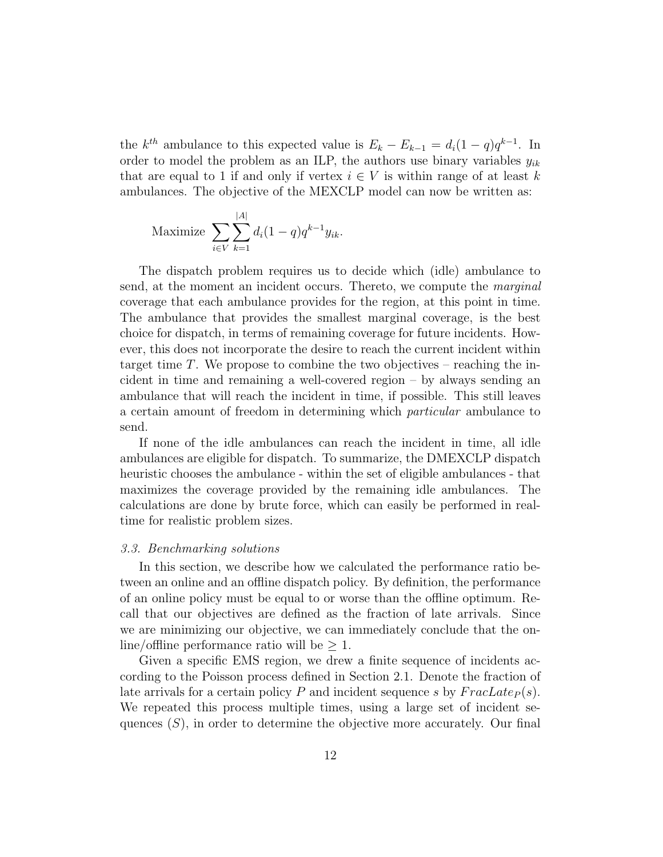the  $k^{th}$  ambulance to this expected value is  $E_k - E_{k-1} = d_i(1-q)q^{k-1}$ . In order to model the problem as an ILP, the authors use binary variables  $y_{ik}$ that are equal to 1 if and only if vertex  $i \in V$  is within range of at least k ambulances. The objective of the MEXCLP model can now be written as:

Maximize 
$$
\sum_{i \in V} \sum_{k=1}^{|A|} d_i (1-q) q^{k-1} y_{ik}
$$
.

The dispatch problem requires us to decide which (idle) ambulance to send, at the moment an incident occurs. Thereto, we compute the *marginal* coverage that each ambulance provides for the region, at this point in time. The ambulance that provides the smallest marginal coverage, is the best choice for dispatch, in terms of remaining coverage for future incidents. However, this does not incorporate the desire to reach the current incident within target time  $T$ . We propose to combine the two objectives – reaching the incident in time and remaining a well-covered region – by always sending an ambulance that will reach the incident in time, if possible. This still leaves a certain amount of freedom in determining which particular ambulance to send.

If none of the idle ambulances can reach the incident in time, all idle ambulances are eligible for dispatch. To summarize, the DMEXCLP dispatch heuristic chooses the ambulance - within the set of eligible ambulances - that maximizes the coverage provided by the remaining idle ambulances. The calculations are done by brute force, which can easily be performed in realtime for realistic problem sizes.

#### 3.3. Benchmarking solutions

In this section, we describe how we calculated the performance ratio between an online and an offline dispatch policy. By definition, the performance of an online policy must be equal to or worse than the offline optimum. Recall that our objectives are defined as the fraction of late arrivals. Since we are minimizing our objective, we can immediately conclude that the online/offline performance ratio will be  $\geq 1$ .

Given a specific EMS region, we drew a finite sequence of incidents according to the Poisson process defined in Section 2.1. Denote the fraction of late arrivals for a certain policy P and incident sequence s by  $FracLate_P(s)$ . We repeated this process multiple times, using a large set of incident sequences  $(S)$ , in order to determine the objective more accurately. Our final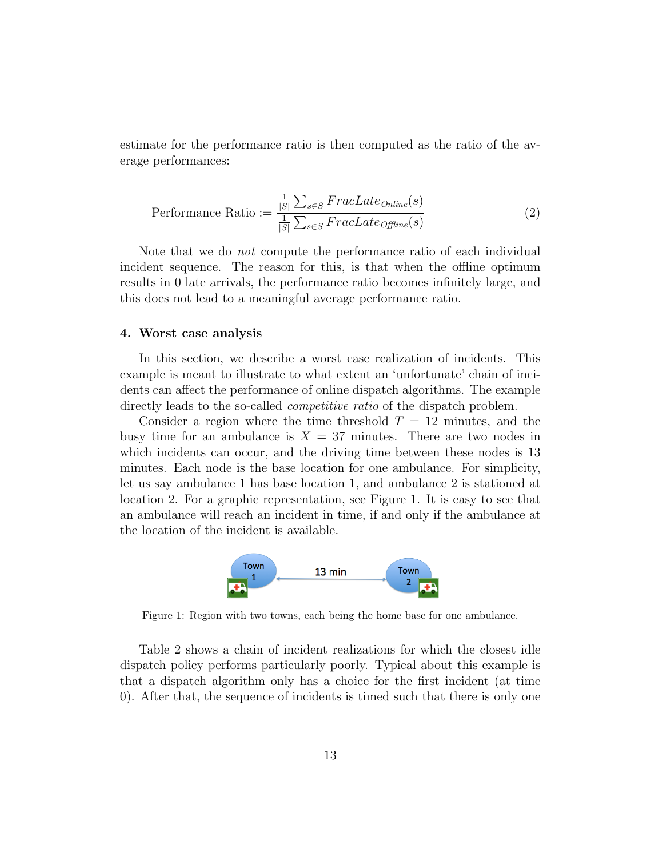estimate for the performance ratio is then computed as the ratio of the average performances:

Performance Ratio := 
$$
\frac{\frac{1}{|S|} \sum_{s \in S} FracLate_{Online}(s)}{\frac{1}{|S|} \sum_{s \in S} FracLate_{Office}(s)}
$$
(2)

Note that we do not compute the performance ratio of each individual incident sequence. The reason for this, is that when the offline optimum results in 0 late arrivals, the performance ratio becomes infinitely large, and this does not lead to a meaningful average performance ratio.

## 4. Worst case analysis

In this section, we describe a worst case realization of incidents. This example is meant to illustrate to what extent an 'unfortunate' chain of incidents can affect the performance of online dispatch algorithms. The example directly leads to the so-called *competitive ratio* of the dispatch problem.

Consider a region where the time threshold  $T = 12$  minutes, and the busy time for an ambulance is  $X = 37$  minutes. There are two nodes in which incidents can occur, and the driving time between these nodes is 13 minutes. Each node is the base location for one ambulance. For simplicity, let us say ambulance 1 has base location 1, and ambulance 2 is stationed at location 2. For a graphic representation, see Figure 1. It is easy to see that an ambulance will reach an incident in time, if and only if the ambulance at the location of the incident is available.



Figure 1: Region with two towns, each being the home base for one ambulance.

Table 2 shows a chain of incident realizations for which the closest idle dispatch policy performs particularly poorly. Typical about this example is that a dispatch algorithm only has a choice for the first incident (at time 0). After that, the sequence of incidents is timed such that there is only one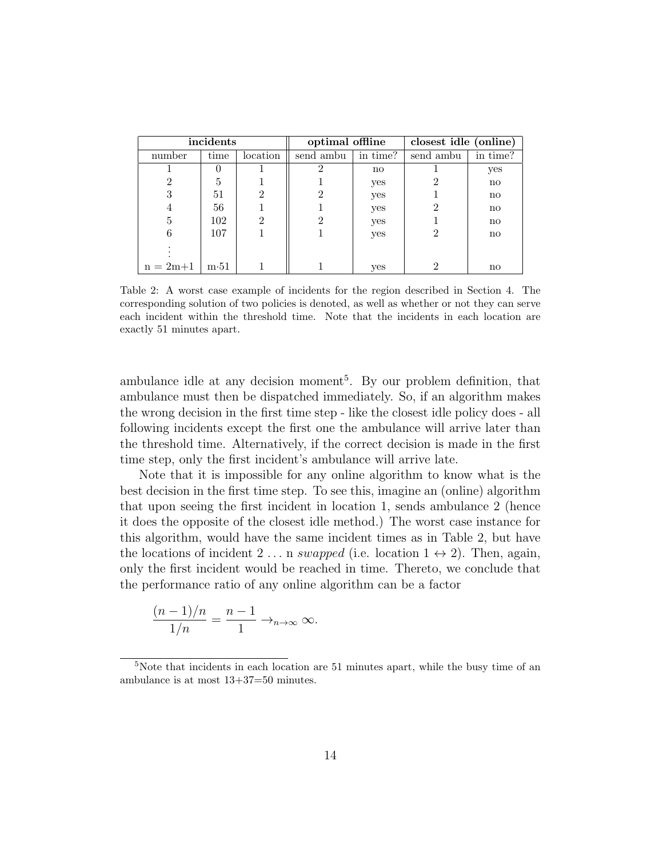|            | incidents |          | optimal offline |                        | closest idle (online) |                        |
|------------|-----------|----------|-----------------|------------------------|-----------------------|------------------------|
| number     | time      | location | send ambu       | in time?               | send ambu             | in time?               |
|            |           |          |                 | $\mathbf{n}\mathbf{o}$ |                       | yes                    |
| 2          | 5         |          |                 | yes                    |                       | $\mathbf{n}$           |
| 3          | 51        | 2        |                 | yes                    |                       | $\mathbf{n}\mathbf{o}$ |
| 4          | 56        |          |                 | yes                    |                       | no                     |
| 5          | 102       | 2        |                 | yes                    |                       | $\mathbf{n}\mathbf{o}$ |
| 6          | 107       |          |                 | yes                    | 2                     | $\mathbf{n}\mathbf{o}$ |
|            |           |          |                 |                        |                       |                        |
| $n = 2m+1$ | m·51      |          |                 | yes                    | ົ                     | $\mathbf{n}\mathbf{o}$ |

Table 2: A worst case example of incidents for the region described in Section 4. The corresponding solution of two policies is denoted, as well as whether or not they can serve each incident within the threshold time. Note that the incidents in each location are exactly 51 minutes apart.

ambulance idle at any decision moment<sup>5</sup>. By our problem definition, that ambulance must then be dispatched immediately. So, if an algorithm makes the wrong decision in the first time step - like the closest idle policy does - all following incidents except the first one the ambulance will arrive later than the threshold time. Alternatively, if the correct decision is made in the first time step, only the first incident's ambulance will arrive late.

Note that it is impossible for any online algorithm to know what is the best decision in the first time step. To see this, imagine an (online) algorithm that upon seeing the first incident in location 1, sends ambulance 2 (hence it does the opposite of the closest idle method.) The worst case instance for this algorithm, would have the same incident times as in Table 2, but have the locations of incident 2 ... n *swapped* (i.e. location  $1 \leftrightarrow 2$ ). Then, again, only the first incident would be reached in time. Thereto, we conclude that the performance ratio of any online algorithm can be a factor

$$
\frac{(n-1)/n}{1/n} = \frac{n-1}{1} \to_{n \to \infty} \infty.
$$

<sup>5</sup>Note that incidents in each location are 51 minutes apart, while the busy time of an ambulance is at most 13+37=50 minutes.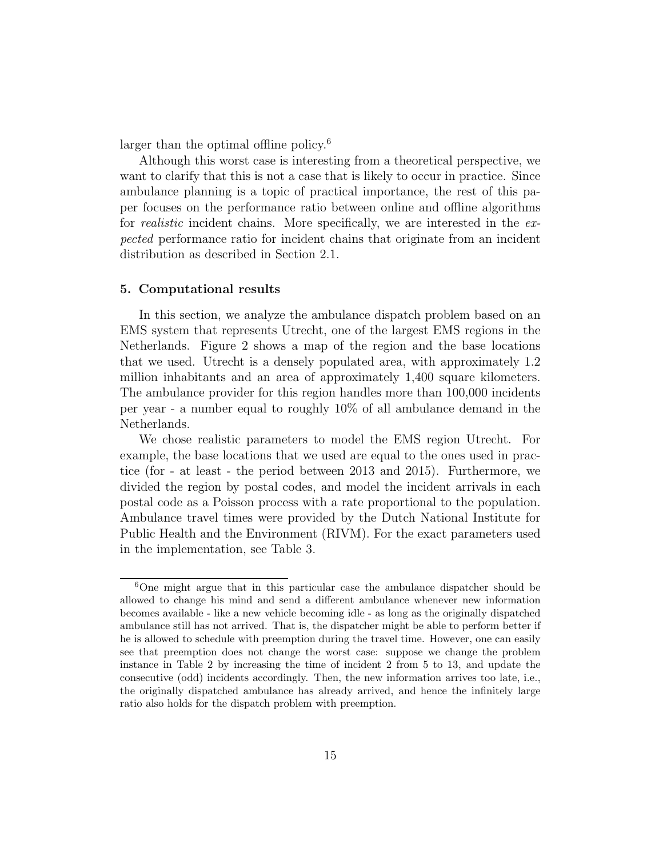larger than the optimal offline policy.<sup>6</sup>

Although this worst case is interesting from a theoretical perspective, we want to clarify that this is not a case that is likely to occur in practice. Since ambulance planning is a topic of practical importance, the rest of this paper focuses on the performance ratio between online and offline algorithms for realistic incident chains. More specifically, we are interested in the expected performance ratio for incident chains that originate from an incident distribution as described in Section 2.1.

#### 5. Computational results

In this section, we analyze the ambulance dispatch problem based on an EMS system that represents Utrecht, one of the largest EMS regions in the Netherlands. Figure 2 shows a map of the region and the base locations that we used. Utrecht is a densely populated area, with approximately 1.2 million inhabitants and an area of approximately 1,400 square kilometers. The ambulance provider for this region handles more than 100,000 incidents per year - a number equal to roughly 10% of all ambulance demand in the Netherlands.

We chose realistic parameters to model the EMS region Utrecht. For example, the base locations that we used are equal to the ones used in practice (for - at least - the period between 2013 and 2015). Furthermore, we divided the region by postal codes, and model the incident arrivals in each postal code as a Poisson process with a rate proportional to the population. Ambulance travel times were provided by the Dutch National Institute for Public Health and the Environment (RIVM). For the exact parameters used in the implementation, see Table 3.

<sup>6</sup>One might argue that in this particular case the ambulance dispatcher should be allowed to change his mind and send a different ambulance whenever new information becomes available - like a new vehicle becoming idle - as long as the originally dispatched ambulance still has not arrived. That is, the dispatcher might be able to perform better if he is allowed to schedule with preemption during the travel time. However, one can easily see that preemption does not change the worst case: suppose we change the problem instance in Table 2 by increasing the time of incident 2 from 5 to 13, and update the consecutive (odd) incidents accordingly. Then, the new information arrives too late, i.e., the originally dispatched ambulance has already arrived, and hence the infinitely large ratio also holds for the dispatch problem with preemption.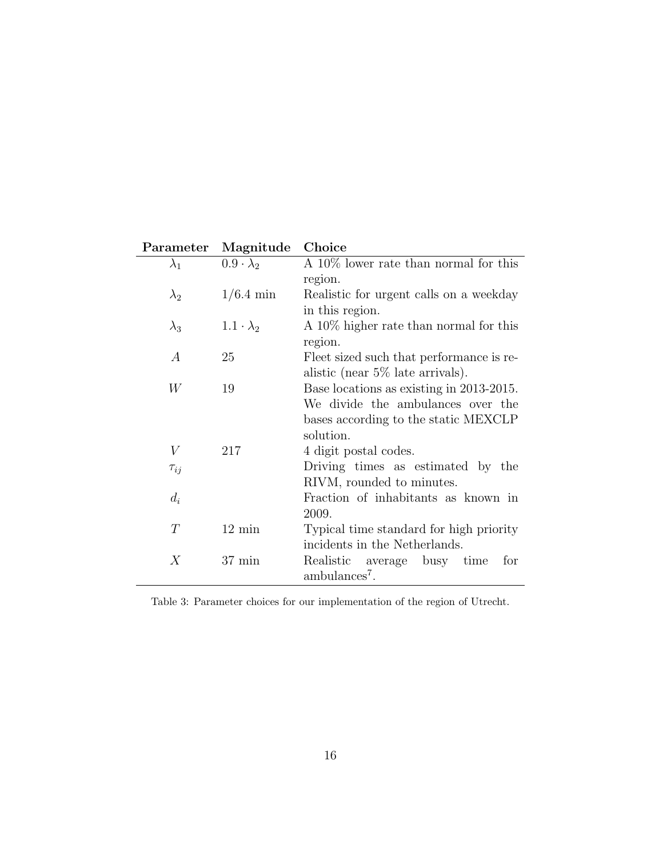| Parameter   | Magnitude             | Choice                                   |  |  |  |
|-------------|-----------------------|------------------------------------------|--|--|--|
| $\lambda_1$ | $0.9 \cdot \lambda_2$ | A $10\%$ lower rate than normal for this |  |  |  |
|             |                       | region.                                  |  |  |  |
| $\lambda_2$ | $1/6.4$ min           | Realistic for urgent calls on a weekday  |  |  |  |
|             |                       | in this region.                          |  |  |  |
| $\lambda_3$ | $1.1 \cdot \lambda_2$ | A 10\% higher rate than normal for this  |  |  |  |
|             |                       | region.                                  |  |  |  |
| A           | 25                    | Fleet sized such that performance is re- |  |  |  |
|             |                       | alistic (near $5\%$ late arrivals).      |  |  |  |
| W           | 19                    | Base locations as existing in 2013-2015. |  |  |  |
|             |                       | We divide the ambulances over the        |  |  |  |
|             |                       | bases according to the static MEXCLP     |  |  |  |
|             |                       | solution.                                |  |  |  |
| $\,V\,$     | 217                   | 4 digit postal codes.                    |  |  |  |
| $\tau_{ij}$ |                       | Driving times as estimated by the        |  |  |  |
|             |                       | RIVM, rounded to minutes.                |  |  |  |
| $d_i$       |                       | Fraction of inhabitants as known in      |  |  |  |
|             |                       | 2009.                                    |  |  |  |
| T           | $12 \text{ min}$      | Typical time standard for high priority  |  |  |  |
|             |                       | incidents in the Netherlands.            |  |  |  |
| X           | $37 \text{ min}$      | Realistic average busy<br>time<br>for    |  |  |  |
|             |                       | $ambulances7$ .                          |  |  |  |

Table 3: Parameter choices for our implementation of the region of Utrecht.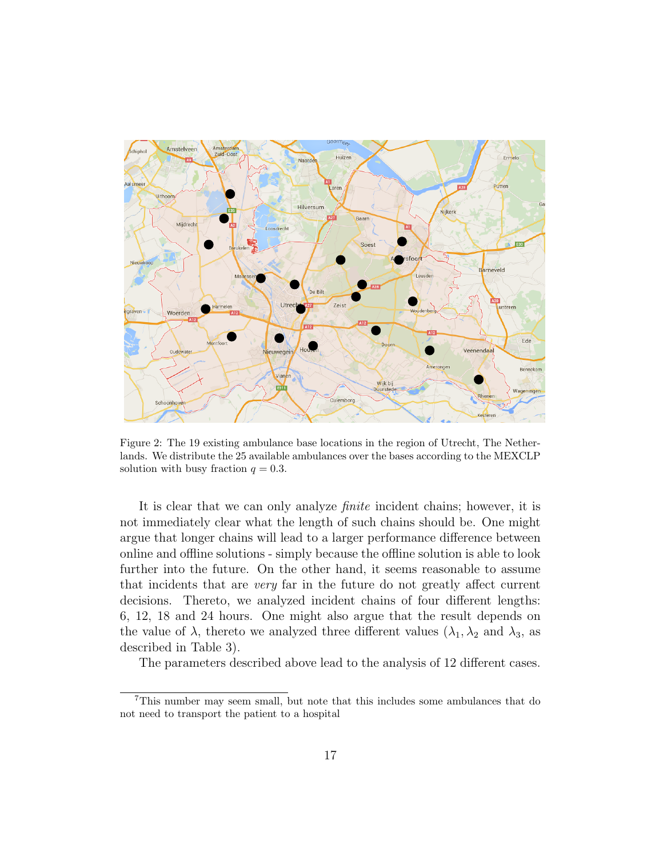

Figure 2: The 19 existing ambulance base locations in the region of Utrecht, The Netherlands. We distribute the 25 available ambulances over the bases according to the MEXCLP solution with busy fraction  $q = 0.3$ .

It is clear that we can only analyze *finite* incident chains; however, it is not immediately clear what the length of such chains should be. One might argue that longer chains will lead to a larger performance difference between online and offline solutions - simply because the offline solution is able to look further into the future. On the other hand, it seems reasonable to assume that incidents that are very far in the future do not greatly affect current decisions. Thereto, we analyzed incident chains of four different lengths: 6, 12, 18 and 24 hours. One might also argue that the result depends on the value of  $\lambda$ , thereto we analyzed three different values  $(\lambda_1, \lambda_2 \text{ and } \lambda_3, \text{ as})$ described in Table 3).

The parameters described above lead to the analysis of 12 different cases.

<sup>7</sup>This number may seem small, but note that this includes some ambulances that do not need to transport the patient to a hospital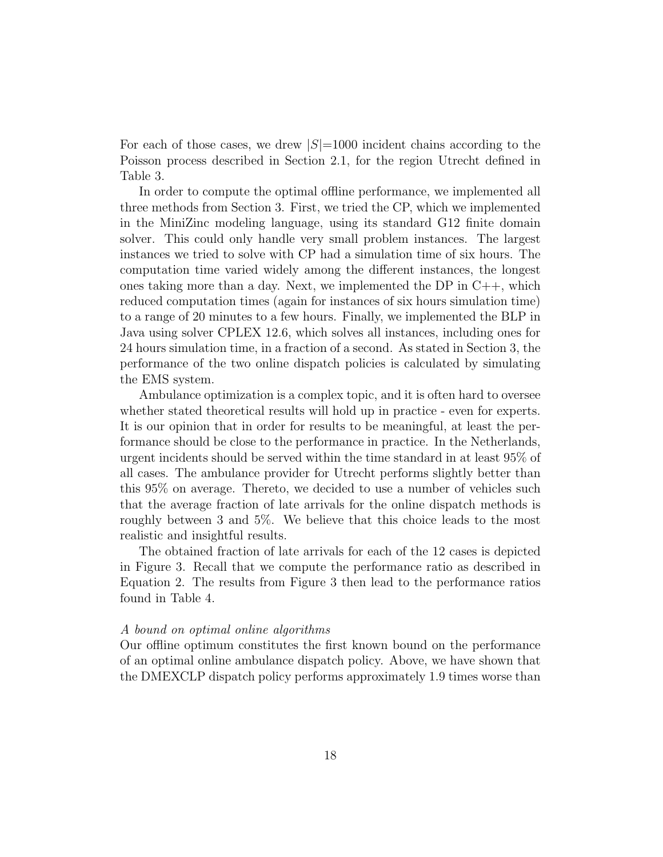For each of those cases, we drew  $|S|=1000$  incident chains according to the Poisson process described in Section 2.1, for the region Utrecht defined in Table 3.

In order to compute the optimal offline performance, we implemented all three methods from Section 3. First, we tried the CP, which we implemented in the MiniZinc modeling language, using its standard G12 finite domain solver. This could only handle very small problem instances. The largest instances we tried to solve with CP had a simulation time of six hours. The computation time varied widely among the different instances, the longest ones taking more than a day. Next, we implemented the DP in  $C_{++}$ , which reduced computation times (again for instances of six hours simulation time) to a range of 20 minutes to a few hours. Finally, we implemented the BLP in Java using solver CPLEX 12.6, which solves all instances, including ones for 24 hours simulation time, in a fraction of a second. As stated in Section 3, the performance of the two online dispatch policies is calculated by simulating the EMS system.

Ambulance optimization is a complex topic, and it is often hard to oversee whether stated theoretical results will hold up in practice - even for experts. It is our opinion that in order for results to be meaningful, at least the performance should be close to the performance in practice. In the Netherlands, urgent incidents should be served within the time standard in at least 95% of all cases. The ambulance provider for Utrecht performs slightly better than this 95% on average. Thereto, we decided to use a number of vehicles such that the average fraction of late arrivals for the online dispatch methods is roughly between 3 and 5%. We believe that this choice leads to the most realistic and insightful results.

The obtained fraction of late arrivals for each of the 12 cases is depicted in Figure 3. Recall that we compute the performance ratio as described in Equation 2. The results from Figure 3 then lead to the performance ratios found in Table 4.

#### A bound on optimal online algorithms

Our offline optimum constitutes the first known bound on the performance of an optimal online ambulance dispatch policy. Above, we have shown that the DMEXCLP dispatch policy performs approximately 1.9 times worse than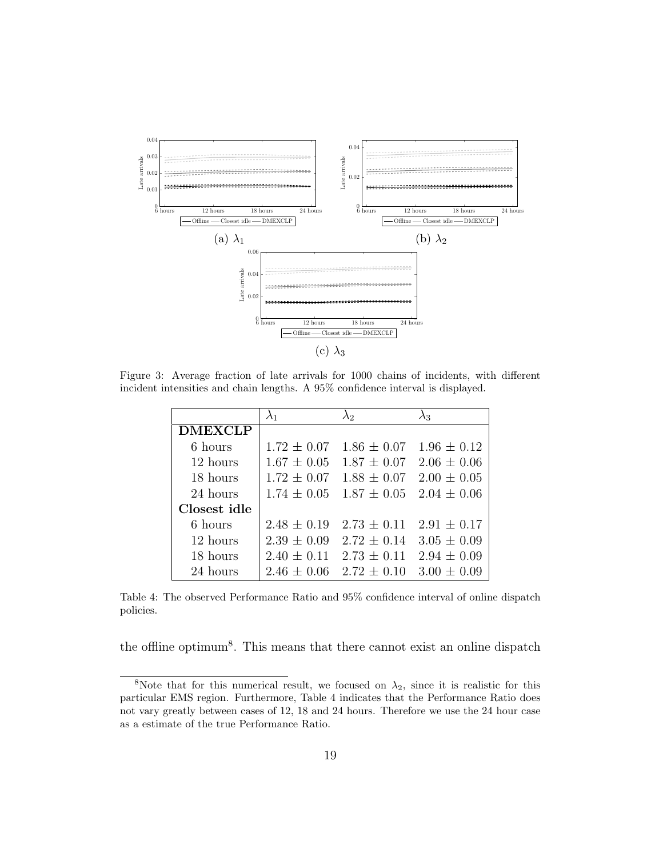

Figure 3: Average fraction of late arrivals for 1000 chains of incidents, with different incident intensities and chain lengths. A 95% confidence interval is displayed.

|                | $\lambda_1$     | $\lambda_2$     | $\lambda_3$     |
|----------------|-----------------|-----------------|-----------------|
| <b>DMEXCLP</b> |                 |                 |                 |
| 6 hours        | $1.72 \pm 0.07$ | $1.86 \pm 0.07$ | $1.96 \pm 0.12$ |
| 12 hours       | $1.67 \pm 0.05$ | $1.87 \pm 0.07$ | $2.06 \pm 0.06$ |
| 18 hours       | $1.72 \pm 0.07$ | $1.88 \pm 0.07$ | $2.00 \pm 0.05$ |
| 24 hours       | $1.74 \pm 0.05$ | $1.87 + 0.05$   | $2.04 \pm 0.06$ |
| Closest idle   |                 |                 |                 |
| 6 hours        | $2.48 \pm 0.19$ | $2.73 \pm 0.11$ | $2.91 \pm 0.17$ |
| 12 hours       | $2.39 \pm 0.09$ | $2.72 \pm 0.14$ | $3.05 \pm 0.09$ |
| 18 hours       | $2.40 \pm 0.11$ | $2.73 \pm 0.11$ | $2.94 \pm 0.09$ |
| 24 hours       | $2.46 \pm 0.06$ | $2.72 \pm 0.10$ | $3.00 \pm 0.09$ |

Table 4: The observed Performance Ratio and 95% confidence interval of online dispatch policies.

the offline optimum<sup>8</sup>. This means that there cannot exist an online dispatch

<sup>&</sup>lt;sup>8</sup>Note that for this numerical result, we focused on  $\lambda_2$ , since it is realistic for this particular EMS region. Furthermore, Table 4 indicates that the Performance Ratio does not vary greatly between cases of 12, 18 and 24 hours. Therefore we use the 24 hour case as a estimate of the true Performance Ratio.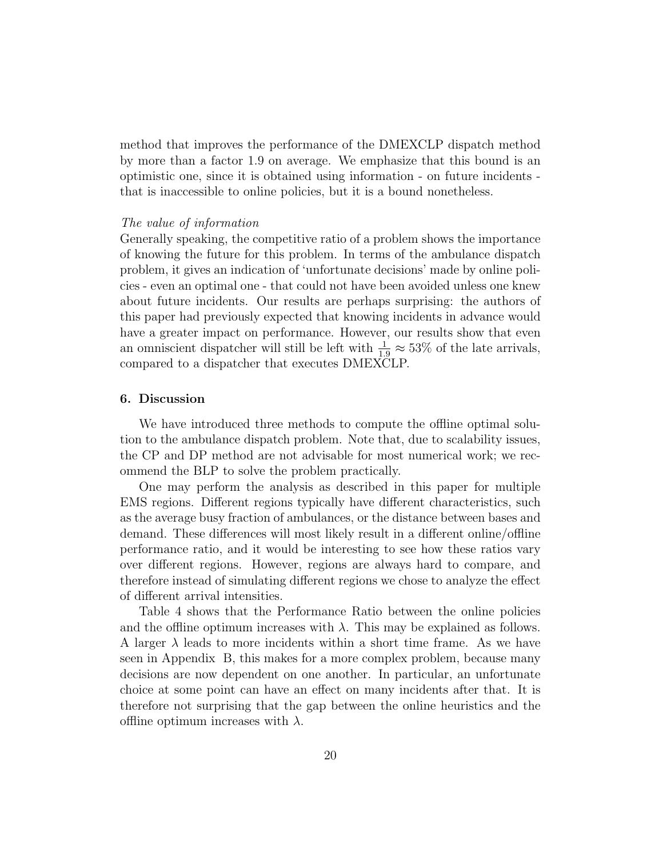method that improves the performance of the DMEXCLP dispatch method by more than a factor 1.9 on average. We emphasize that this bound is an optimistic one, since it is obtained using information - on future incidents that is inaccessible to online policies, but it is a bound nonetheless.

#### The value of information

Generally speaking, the competitive ratio of a problem shows the importance of knowing the future for this problem. In terms of the ambulance dispatch problem, it gives an indication of 'unfortunate decisions' made by online policies - even an optimal one - that could not have been avoided unless one knew about future incidents. Our results are perhaps surprising: the authors of this paper had previously expected that knowing incidents in advance would have a greater impact on performance. However, our results show that even an omniscient dispatcher will still be left with  $\frac{1}{1.9} \approx 53\%$  of the late arrivals, compared to a dispatcher that executes DMEXCLP.

## 6. Discussion

We have introduced three methods to compute the offline optimal solution to the ambulance dispatch problem. Note that, due to scalability issues, the CP and DP method are not advisable for most numerical work; we recommend the BLP to solve the problem practically.

One may perform the analysis as described in this paper for multiple EMS regions. Different regions typically have different characteristics, such as the average busy fraction of ambulances, or the distance between bases and demand. These differences will most likely result in a different online/offline performance ratio, and it would be interesting to see how these ratios vary over different regions. However, regions are always hard to compare, and therefore instead of simulating different regions we chose to analyze the effect of different arrival intensities.

Table 4 shows that the Performance Ratio between the online policies and the offline optimum increases with  $\lambda$ . This may be explained as follows. A larger  $\lambda$  leads to more incidents within a short time frame. As we have seen in Appendix B, this makes for a more complex problem, because many decisions are now dependent on one another. In particular, an unfortunate choice at some point can have an effect on many incidents after that. It is therefore not surprising that the gap between the online heuristics and the offline optimum increases with  $\lambda$ .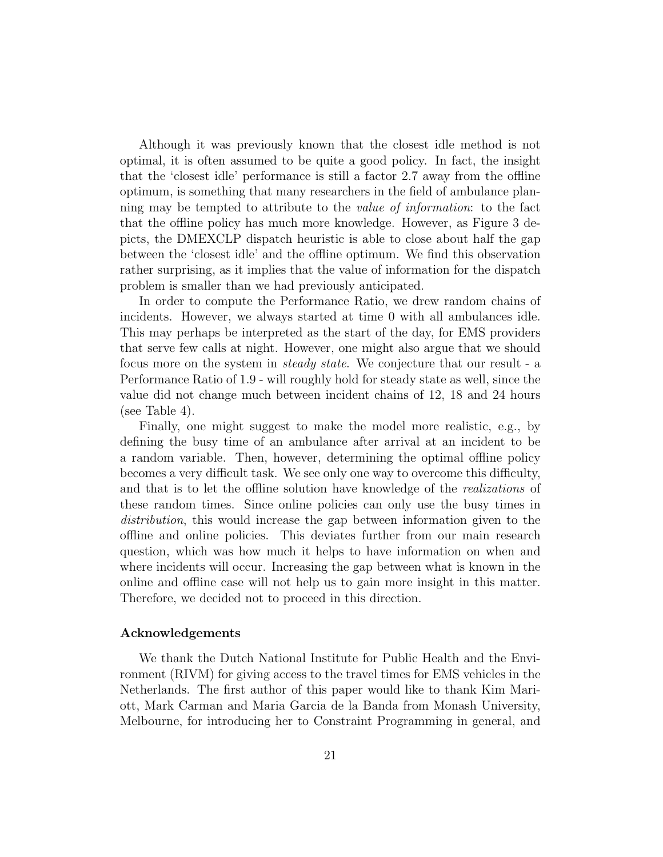Although it was previously known that the closest idle method is not optimal, it is often assumed to be quite a good policy. In fact, the insight that the 'closest idle' performance is still a factor 2.7 away from the offline optimum, is something that many researchers in the field of ambulance planning may be tempted to attribute to the value of information: to the fact that the offline policy has much more knowledge. However, as Figure 3 depicts, the DMEXCLP dispatch heuristic is able to close about half the gap between the 'closest idle' and the offline optimum. We find this observation rather surprising, as it implies that the value of information for the dispatch problem is smaller than we had previously anticipated.

In order to compute the Performance Ratio, we drew random chains of incidents. However, we always started at time 0 with all ambulances idle. This may perhaps be interpreted as the start of the day, for EMS providers that serve few calls at night. However, one might also argue that we should focus more on the system in steady state. We conjecture that our result - a Performance Ratio of 1.9 - will roughly hold for steady state as well, since the value did not change much between incident chains of 12, 18 and 24 hours (see Table 4).

Finally, one might suggest to make the model more realistic, e.g., by defining the busy time of an ambulance after arrival at an incident to be a random variable. Then, however, determining the optimal offline policy becomes a very difficult task. We see only one way to overcome this difficulty, and that is to let the offline solution have knowledge of the realizations of these random times. Since online policies can only use the busy times in distribution, this would increase the gap between information given to the offline and online policies. This deviates further from our main research question, which was how much it helps to have information on when and where incidents will occur. Increasing the gap between what is known in the online and offline case will not help us to gain more insight in this matter. Therefore, we decided not to proceed in this direction.

## Acknowledgements

We thank the Dutch National Institute for Public Health and the Environment (RIVM) for giving access to the travel times for EMS vehicles in the Netherlands. The first author of this paper would like to thank Kim Mariott, Mark Carman and Maria Garcia de la Banda from Monash University, Melbourne, for introducing her to Constraint Programming in general, and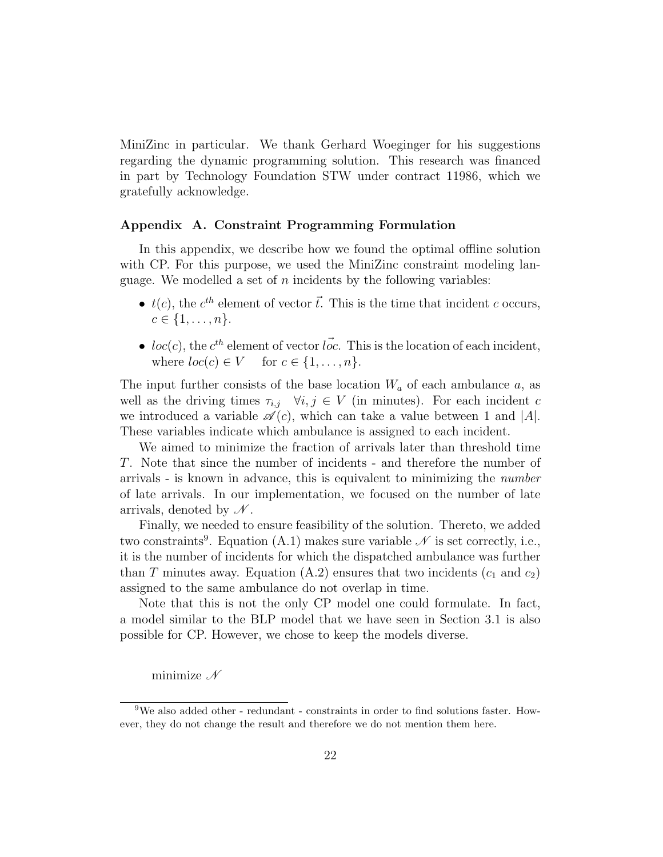MiniZinc in particular. We thank Gerhard Woeginger for his suggestions regarding the dynamic programming solution. This research was financed in part by Technology Foundation STW under contract 11986, which we gratefully acknowledge.

## Appendix A. Constraint Programming Formulation

In this appendix, we describe how we found the optimal offline solution with CP. For this purpose, we used the MiniZinc constraint modeling language. We modelled a set of  $n$  incidents by the following variables:

- $t(c)$ , the  $c^{th}$  element of vector  $\vec{t}$ . This is the time that incident c occurs,  $c \in \{1, \ldots, n\}.$
- $loc(c)$ , the  $c^{th}$  element of vector  $\vec{loc}$ . This is the location of each incident, where  $loc(c) \in V$  for  $c \in \{1, \ldots, n\}$ .

The input further consists of the base location  $W_a$  of each ambulance  $a$ , as well as the driving times  $\tau_{i,j}$   $\forall i,j \in V$  (in minutes). For each incident c we introduced a variable  $\mathscr{A}(c)$ , which can take a value between 1 and |A|. These variables indicate which ambulance is assigned to each incident.

We aimed to minimize the fraction of arrivals later than threshold time T. Note that since the number of incidents - and therefore the number of arrivals - is known in advance, this is equivalent to minimizing the number of late arrivals. In our implementation, we focused on the number of late arrivals, denoted by  $\mathscr N$ .

Finally, we needed to ensure feasibility of the solution. Thereto, we added two constraints<sup>9</sup>. Equation (A.1) makes sure variable  $\mathcal N$  is set correctly, i.e., it is the number of incidents for which the dispatched ambulance was further than T minutes away. Equation (A.2) ensures that two incidents  $(c_1 \text{ and } c_2)$ assigned to the same ambulance do not overlap in time.

Note that this is not the only CP model one could formulate. In fact, a model similar to the BLP model that we have seen in Section 3.1 is also possible for CP. However, we chose to keep the models diverse.

minimize  $\mathscr N$ 

<sup>9</sup>We also added other - redundant - constraints in order to find solutions faster. However, they do not change the result and therefore we do not mention them here.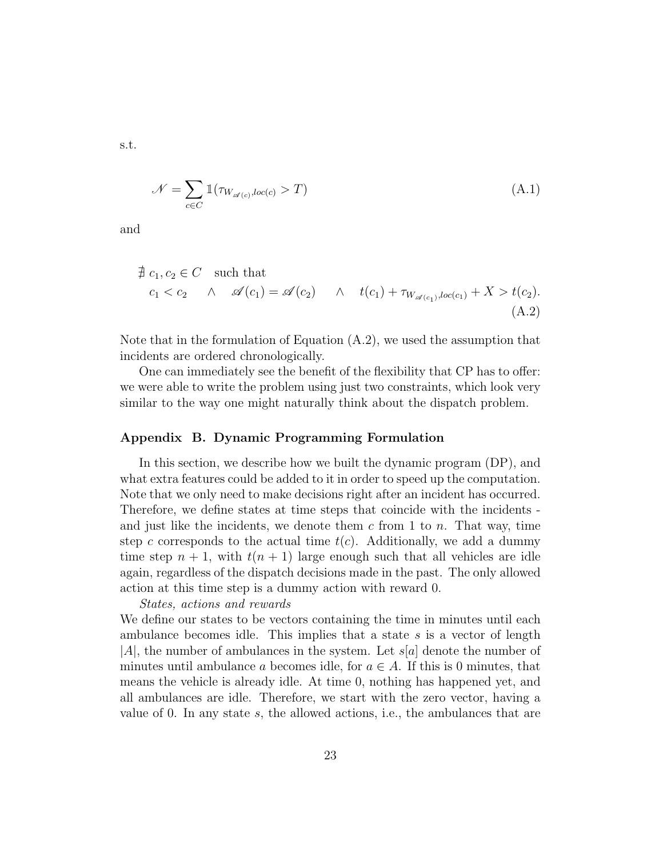s.t.

$$
\mathcal{N} = \sum_{c \in C} \mathbb{1}(\tau_{W_{\mathscr{A}(c)}, loc(c)} > T) \tag{A.1}
$$

and

$$
\nexists c_1, c_2 \in C \text{ such that}
$$
\n
$$
c_1 < c_2 \quad \land \quad \mathcal{A}(c_1) = \mathcal{A}(c_2) \quad \land \quad t(c_1) + \tau_{W_{\mathcal{A}(c_1)},loc(c_1)} + X > t(c_2).
$$
\n(A.2)

Note that in the formulation of Equation  $(A.2)$ , we used the assumption that incidents are ordered chronologically.

One can immediately see the benefit of the flexibility that CP has to offer: we were able to write the problem using just two constraints, which look very similar to the way one might naturally think about the dispatch problem.

## Appendix B. Dynamic Programming Formulation

In this section, we describe how we built the dynamic program (DP), and what extra features could be added to it in order to speed up the computation. Note that we only need to make decisions right after an incident has occurred. Therefore, we define states at time steps that coincide with the incidents and just like the incidents, we denote them  $c$  from 1 to  $n$ . That way, time step c corresponds to the actual time  $t(c)$ . Additionally, we add a dummy time step  $n + 1$ , with  $t(n + 1)$  large enough such that all vehicles are idle again, regardless of the dispatch decisions made in the past. The only allowed action at this time step is a dummy action with reward 0.

#### States, actions and rewards

We define our states to be vectors containing the time in minutes until each ambulance becomes idle. This implies that a state  $s$  is a vector of length |A|, the number of ambulances in the system. Let  $s[a]$  denote the number of minutes until ambulance a becomes idle, for  $a \in A$ . If this is 0 minutes, that means the vehicle is already idle. At time 0, nothing has happened yet, and all ambulances are idle. Therefore, we start with the zero vector, having a value of 0. In any state s, the allowed actions, i.e., the ambulances that are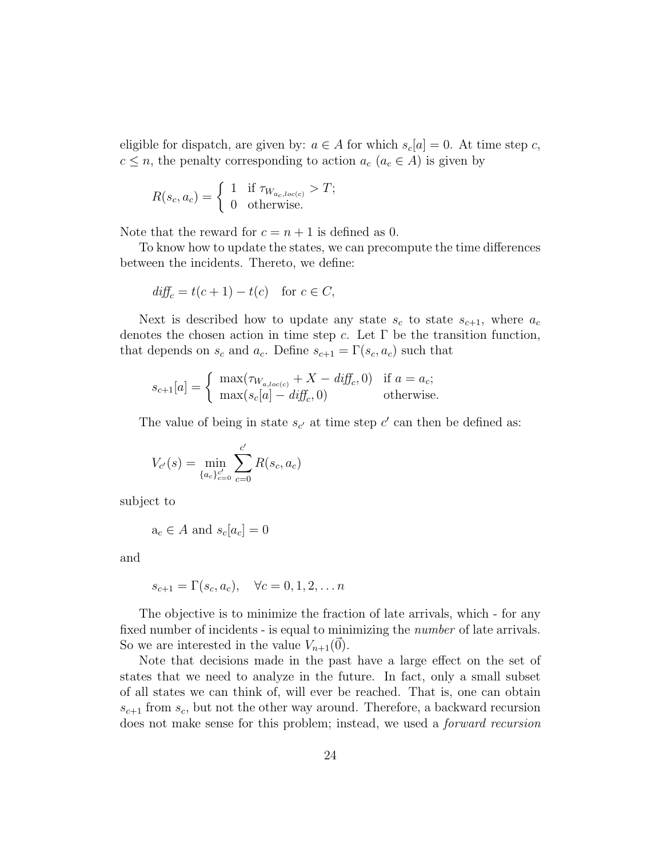eligible for dispatch, are given by:  $a \in A$  for which  $s_c[a] = 0$ . At time step c,  $c \leq n$ , the penalty corresponding to action  $a_c$   $(a_c \in A)$  is given by

$$
R(s_c, a_c) = \begin{cases} 1 & \text{if } \tau_{W_{a_c, loc(c)}} > T; \\ 0 & \text{otherwise.} \end{cases}
$$

Note that the reward for  $c = n + 1$  is defined as 0.

To know how to update the states, we can precompute the time differences between the incidents. Thereto, we define:

$$
diff_c = t(c+1) - t(c) \quad \text{for } c \in C,
$$

Next is described how to update any state  $s_c$  to state  $s_{c+1}$ , where  $a_c$ denotes the chosen action in time step c. Let  $\Gamma$  be the transition function, that depends on  $s_c$  and  $a_c$ . Define  $s_{c+1} = \Gamma(s_c, a_c)$  such that

$$
s_{c+1}[a] = \begin{cases} \max(\tau_{W_{a,loc(c)}} + X - \text{diff}_c, 0) & \text{if } a = a_c; \\ \max(s_c[a] - \text{diff}_c, 0) & \text{otherwise.} \end{cases}
$$

The value of being in state  $s_{c'}$  at time step  $c'$  can then be defined as:

$$
V_{c'}(s) = \min_{\{a_c\}_{c=0}^{c'}} \sum_{c=0}^{c'} R(s_c, a_c)
$$

subject to

 $a_c \in A$  and  $s_c[a_c] = 0$ 

and

$$
s_{c+1} = \Gamma(s_c, a_c), \quad \forall c = 0, 1, 2, \dots n
$$

The objective is to minimize the fraction of late arrivals, which - for any fixed number of incidents - is equal to minimizing the *number* of late arrivals. So we are interested in the value  $V_{n+1}(0)$ .

Note that decisions made in the past have a large effect on the set of states that we need to analyze in the future. In fact, only a small subset of all states we can think of, will ever be reached. That is, one can obtain  $s_{c+1}$  from  $s_c$ , but not the other way around. Therefore, a backward recursion does not make sense for this problem; instead, we used a forward recursion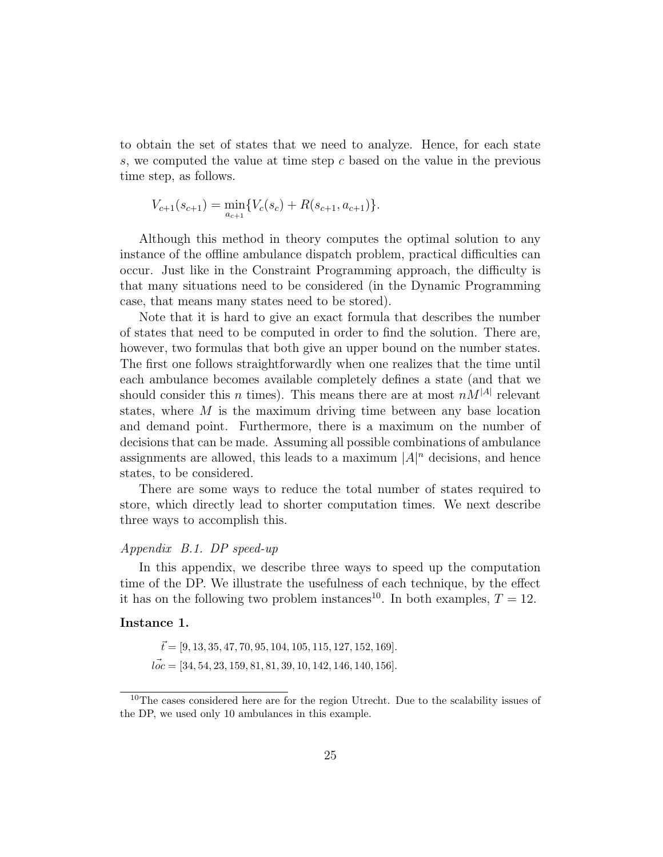to obtain the set of states that we need to analyze. Hence, for each state s, we computed the value at time step c based on the value in the previous time step, as follows.

$$
V_{c+1}(s_{c+1}) = \min_{a_{c+1}} \{ V_c(s_c) + R(s_{c+1}, a_{c+1}) \}.
$$

Although this method in theory computes the optimal solution to any instance of the offline ambulance dispatch problem, practical difficulties can occur. Just like in the Constraint Programming approach, the difficulty is that many situations need to be considered (in the Dynamic Programming case, that means many states need to be stored).

Note that it is hard to give an exact formula that describes the number of states that need to be computed in order to find the solution. There are, however, two formulas that both give an upper bound on the number states. The first one follows straightforwardly when one realizes that the time until each ambulance becomes available completely defines a state (and that we should consider this *n* times). This means there are at most  $nM^{|A|}$  relevant states, where  $M$  is the maximum driving time between any base location and demand point. Furthermore, there is a maximum on the number of decisions that can be made. Assuming all possible combinations of ambulance assignments are allowed, this leads to a maximum  $|A|^n$  decisions, and hence states, to be considered.

There are some ways to reduce the total number of states required to store, which directly lead to shorter computation times. We next describe three ways to accomplish this.

## Appendix B.1. DP speed-up

In this appendix, we describe three ways to speed up the computation time of the DP. We illustrate the usefulness of each technique, by the effect it has on the following two problem instances<sup>10</sup>. In both examples,  $T = 12$ .

## Instance 1.

 $\vec{t} = [9, 13, 35, 47, 70, 95, 104, 105, 115, 127, 152, 169].$  $\vec{loc} = [34, 54, 23, 159, 81, 81, 39, 10, 142, 146, 140, 156].$ 

<sup>&</sup>lt;sup>10</sup>The cases considered here are for the region Utrecht. Due to the scalability issues of the DP, we used only 10 ambulances in this example.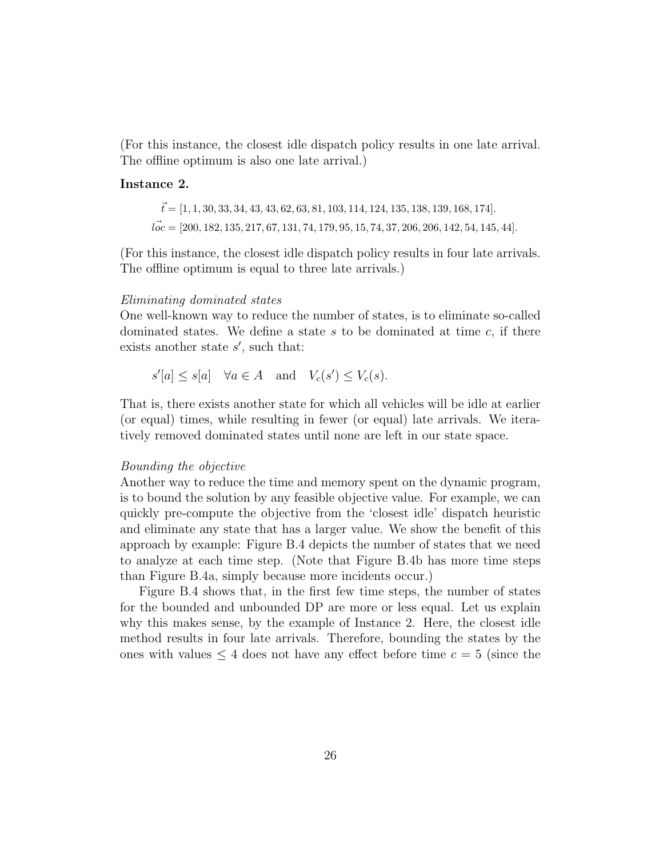(For this instance, the closest idle dispatch policy results in one late arrival. The offline optimum is also one late arrival.)

## Instance 2.

 $\vec{t} = [1, 1, 30, 33, 34, 43, 43, 62, 63, 81, 103, 114, 124, 135, 138, 139, 168, 174].$  $\vec{loc} = [200, 182, 135, 217, 67, 131, 74, 179, 95, 15, 74, 37, 206, 206, 142, 54, 145, 44].$ 

(For this instance, the closest idle dispatch policy results in four late arrivals. The offline optimum is equal to three late arrivals.)

#### Eliminating dominated states

One well-known way to reduce the number of states, is to eliminate so-called dominated states. We define a state s to be dominated at time  $c$ , if there exists another state  $s'$ , such that:

$$
s'[a] \le s[a] \quad \forall a \in A \quad \text{and} \quad V_c(s') \le V_c(s).
$$

That is, there exists another state for which all vehicles will be idle at earlier (or equal) times, while resulting in fewer (or equal) late arrivals. We iteratively removed dominated states until none are left in our state space.

#### Bounding the objective

Another way to reduce the time and memory spent on the dynamic program, is to bound the solution by any feasible objective value. For example, we can quickly pre-compute the objective from the 'closest idle' dispatch heuristic and eliminate any state that has a larger value. We show the benefit of this approach by example: Figure B.4 depicts the number of states that we need to analyze at each time step. (Note that Figure B.4b has more time steps than Figure B.4a, simply because more incidents occur.)

Figure B.4 shows that, in the first few time steps, the number of states for the bounded and unbounded DP are more or less equal. Let us explain why this makes sense, by the example of Instance 2. Here, the closest idle method results in four late arrivals. Therefore, bounding the states by the ones with values  $\leq 4$  does not have any effect before time  $c = 5$  (since the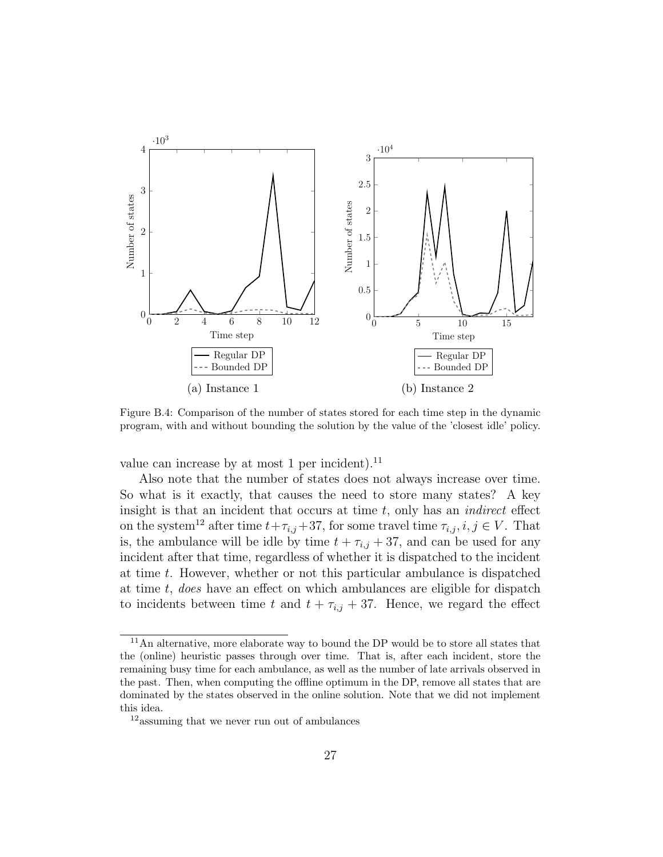

Figure B.4: Comparison of the number of states stored for each time step in the dynamic program, with and without bounding the solution by the value of the 'closest idle' policy.

value can increase by at most 1 per incident). $^{11}$ 

Also note that the number of states does not always increase over time. So what is it exactly, that causes the need to store many states? A key insight is that an incident that occurs at time  $t$ , only has an *indirect* effect on the system<sup>12</sup> after time  $t+\tau_{i,j}+37$ , for some travel time  $\tau_{i,j}, i, j \in V$ . That is, the ambulance will be idle by time  $t + \tau_{i,j} + 37$ , and can be used for any incident after that time, regardless of whether it is dispatched to the incident at time t. However, whether or not this particular ambulance is dispatched at time t, does have an effect on which ambulances are eligible for dispatch to incidents between time t and  $t + \tau_{i,j} + 37$ . Hence, we regard the effect

<sup>11</sup>An alternative, more elaborate way to bound the DP would be to store all states that the (online) heuristic passes through over time. That is, after each incident, store the remaining busy time for each ambulance, as well as the number of late arrivals observed in the past. Then, when computing the offline optimum in the DP, remove all states that are dominated by the states observed in the online solution. Note that we did not implement this idea.

<sup>12</sup>assuming that we never run out of ambulances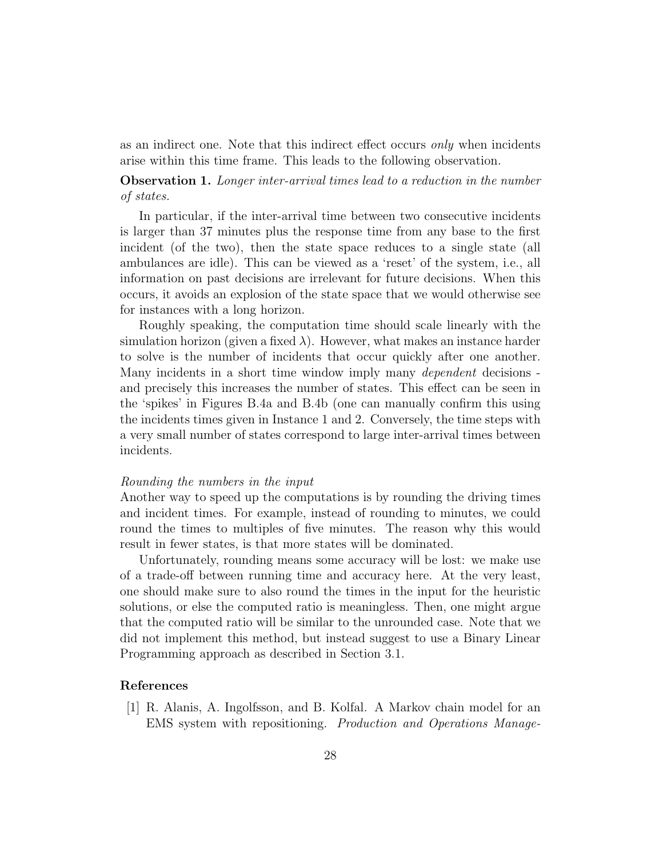as an indirect one. Note that this indirect effect occurs *only* when incidents arise within this time frame. This leads to the following observation.

# Observation 1. Longer inter-arrival times lead to a reduction in the number of states.

In particular, if the inter-arrival time between two consecutive incidents is larger than 37 minutes plus the response time from any base to the first incident (of the two), then the state space reduces to a single state (all ambulances are idle). This can be viewed as a 'reset' of the system, i.e., all information on past decisions are irrelevant for future decisions. When this occurs, it avoids an explosion of the state space that we would otherwise see for instances with a long horizon.

Roughly speaking, the computation time should scale linearly with the simulation horizon (given a fixed  $\lambda$ ). However, what makes an instance harder to solve is the number of incidents that occur quickly after one another. Many incidents in a short time window imply many dependent decisions and precisely this increases the number of states. This effect can be seen in the 'spikes' in Figures B.4a and B.4b (one can manually confirm this using the incidents times given in Instance 1 and 2. Conversely, the time steps with a very small number of states correspond to large inter-arrival times between incidents.

#### Rounding the numbers in the input

Another way to speed up the computations is by rounding the driving times and incident times. For example, instead of rounding to minutes, we could round the times to multiples of five minutes. The reason why this would result in fewer states, is that more states will be dominated.

Unfortunately, rounding means some accuracy will be lost: we make use of a trade-off between running time and accuracy here. At the very least, one should make sure to also round the times in the input for the heuristic solutions, or else the computed ratio is meaningless. Then, one might argue that the computed ratio will be similar to the unrounded case. Note that we did not implement this method, but instead suggest to use a Binary Linear Programming approach as described in Section 3.1.

#### References

[1] R. Alanis, A. Ingolfsson, and B. Kolfal. A Markov chain model for an EMS system with repositioning. Production and Operations Manage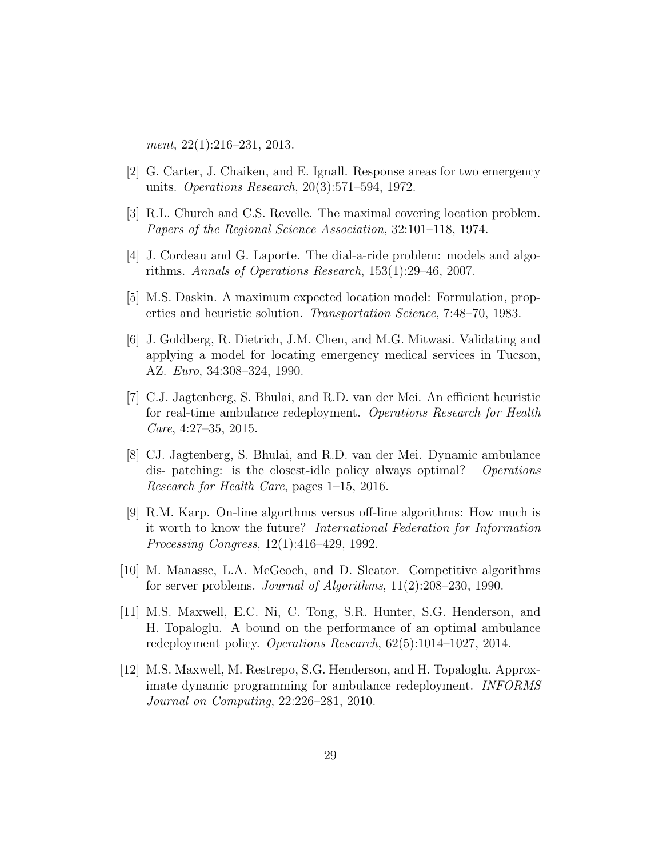ment, 22(1):216–231, 2013.

- [2] G. Carter, J. Chaiken, and E. Ignall. Response areas for two emergency units. Operations Research, 20(3):571–594, 1972.
- [3] R.L. Church and C.S. Revelle. The maximal covering location problem. Papers of the Regional Science Association, 32:101–118, 1974.
- [4] J. Cordeau and G. Laporte. The dial-a-ride problem: models and algorithms. Annals of Operations Research, 153(1):29–46, 2007.
- [5] M.S. Daskin. A maximum expected location model: Formulation, properties and heuristic solution. Transportation Science, 7:48–70, 1983.
- [6] J. Goldberg, R. Dietrich, J.M. Chen, and M.G. Mitwasi. Validating and applying a model for locating emergency medical services in Tucson, AZ. Euro, 34:308–324, 1990.
- [7] C.J. Jagtenberg, S. Bhulai, and R.D. van der Mei. An efficient heuristic for real-time ambulance redeployment. Operations Research for Health Care, 4:27–35, 2015.
- [8] CJ. Jagtenberg, S. Bhulai, and R.D. van der Mei. Dynamic ambulance dis- patching: is the closest-idle policy always optimal? Operations Research for Health Care, pages 1–15, 2016.
- [9] R.M. Karp. On-line algorthms versus off-line algorithms: How much is it worth to know the future? International Federation for Information Processing Congress, 12(1):416–429, 1992.
- [10] M. Manasse, L.A. McGeoch, and D. Sleator. Competitive algorithms for server problems. Journal of Algorithms, 11(2):208–230, 1990.
- [11] M.S. Maxwell, E.C. Ni, C. Tong, S.R. Hunter, S.G. Henderson, and H. Topaloglu. A bound on the performance of an optimal ambulance redeployment policy. Operations Research, 62(5):1014–1027, 2014.
- [12] M.S. Maxwell, M. Restrepo, S.G. Henderson, and H. Topaloglu. Approximate dynamic programming for ambulance redeployment. INFORMS Journal on Computing, 22:226–281, 2010.